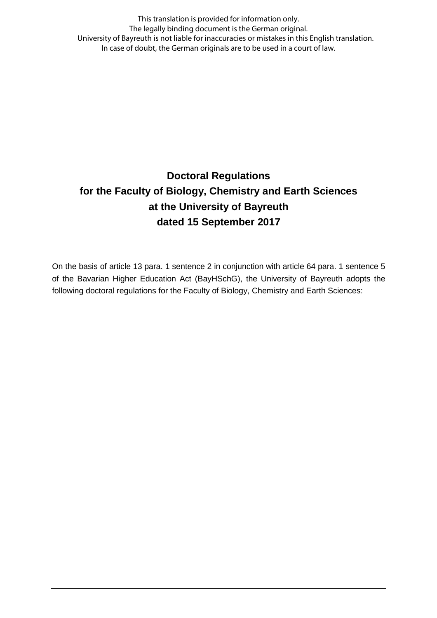This translation is provided for information only. The legally binding document is the German original. University of Bayreuth is not liable for inaccuracies or mistakes in this English translation. In case of doubt, the German originals are to be used in a court of law.

# **Doctoral Regulations for the Faculty of Biology, Chemistry and Earth Sciences at the University of Bayreuth dated 15 September 2017**

On the basis of article 13 para. 1 sentence 2 in conjunction with article 64 para. 1 sentence 5 of the Bavarian Higher Education Act (BayHSchG), the University of Bayreuth adopts the following doctoral regulations for the Faculty of Biology, Chemistry and Earth Sciences: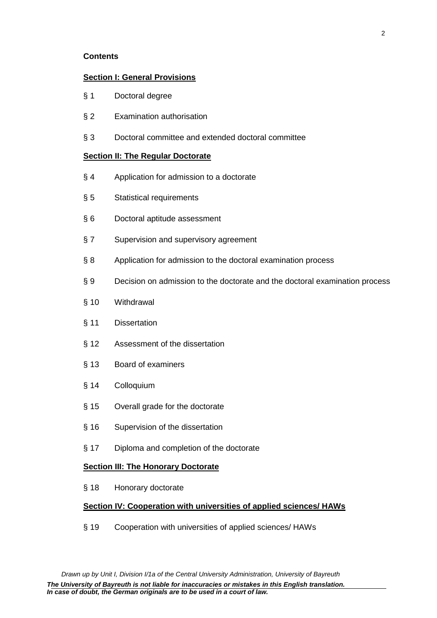### **Contents**

### **Section I: General Provisions**

- § 1 Doctoral degree
- § 2 Examination authorisation
- § 3 Doctoral committee and extended doctoral committee

### **Section II: The Regular Doctorate**

- § 4 Application for admission to a doctorate
- § 5 Statistical requirements
- § 6 Doctoral aptitude assessment
- § 7 Supervision and supervisory agreement
- § 8 Application for admission to the doctoral examination process
- § 9 Decision on admission to the doctorate and the doctoral examination process
- § 10 Withdrawal
- § 11 Dissertation
- § 12 Assessment of the dissertation
- § 13 Board of examiners
- § 14 Colloquium
- § 15 Overall grade for the doctorate
- § 16 Supervision of the dissertation
- § 17 Diploma and completion of the doctorate

### **Section III: The Honorary Doctorate**

§ 18 Honorary doctorate

### **Section IV: Cooperation with universities of applied sciences/ HAWs**

§ 19 Cooperation with universities of applied sciences/ HAWs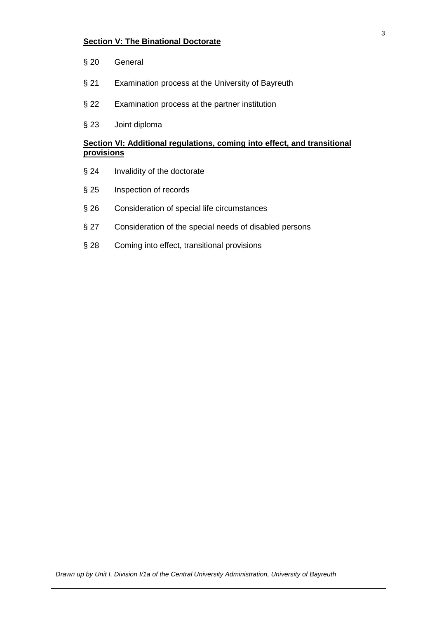## **Section V: The Binational Doctorate**

- § 20 General
- § 21 Examination process at the University of Bayreuth
- § 22 Examination process at the partner institution
- § 23 Joint diploma

## **Section VI: Additional regulations, coming into effect, and transitional provisions**

- § 24 Invalidity of the doctorate
- § 25 Inspection of records
- § 26 Consideration of special life circumstances
- § 27 Consideration of the special needs of disabled persons
- § 28 Coming into effect, transitional provisions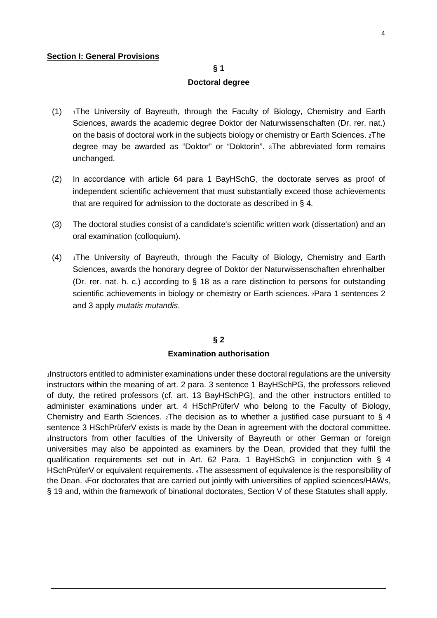### **Section I: General Provisions**

### **§ 1**

#### **Doctoral degree**

- (1) 1The University of Bayreuth, through the Faculty of Biology, Chemistry and Earth Sciences, awards the academic degree Doktor der Naturwissenschaften (Dr. rer. nat.) on the basis of doctoral work in the subjects biology or chemistry or Earth Sciences. 2The degree may be awarded as "Doktor" or "Doktorin". 3The abbreviated form remains unchanged.
- (2) In accordance with article 64 para 1 BayHSchG, the doctorate serves as proof of independent scientific achievement that must substantially exceed those achievements that are required for admission to the doctorate as described in § 4.
- (3) The doctoral studies consist of a candidate's scientific written work (dissertation) and an oral examination (colloquium).
- (4) 1The University of Bayreuth, through the Faculty of Biology, Chemistry and Earth Sciences, awards the honorary degree of Doktor der Naturwissenschaften ehrenhalber (Dr. rer. nat. h. c.) according to § 18 as a rare distinction to persons for outstanding scientific achievements in biology or chemistry or Earth sciences. 2Para 1 sentences 2 and 3 apply *mutatis mutandis*.

#### **§ 2**

### **Examination authorisation**

<sup>1</sup>Instructors entitled to administer examinations under these doctoral regulations are the university instructors within the meaning of art. 2 para. 3 sentence 1 BayHSchPG, the professors relieved of duty, the retired professors (cf. art. 13 BayHSchPG), and the other instructors entitled to administer examinations under art. 4 HSchPrüferV who belong to the Faculty of Biology, Chemistry and Earth Sciences.  $_2$ The decision as to whether a justified case pursuant to § 4 sentence 3 HSchPrüferV exists is made by the Dean in agreement with the doctoral committee. <sup>3</sup>Instructors from other faculties of the University of Bayreuth or other German or foreign universities may also be appointed as examiners by the Dean, provided that they fulfil the qualification requirements set out in Art. 62 Para. 1 BayHSchG in conjunction with § 4 HSchPrüferV or equivalent requirements. 4The assessment of equivalence is the responsibility of the Dean. 5For doctorates that are carried out jointly with universities of applied sciences/HAWs, § 19 and, within the framework of binational doctorates, Section V of these Statutes shall apply.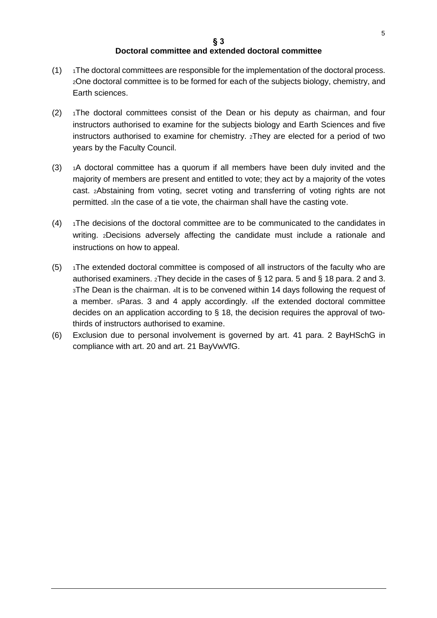## **Doctoral committee and extended doctoral committee**

- $(1)$  1The doctoral committees are responsible for the implementation of the doctoral process. 2One doctoral committee is to be formed for each of the subjects biology, chemistry, and Earth sciences.
- $(2)$  1The doctoral committees consist of the Dean or his deputy as chairman, and four instructors authorised to examine for the subjects biology and Earth Sciences and five instructors authorised to examine for chemistry. 2They are elected for a period of two years by the Faculty Council.
- $(3)$  1A doctoral committee has a quorum if all members have been duly invited and the majority of members are present and entitled to vote; they act by a majority of the votes cast. 2Abstaining from voting, secret voting and transferring of voting rights are not permitted. 3In the case of a tie vote, the chairman shall have the casting vote.
- $(4)$  1The decisions of the doctoral committee are to be communicated to the candidates in writing. 2Decisions adversely affecting the candidate must include a rationale and instructions on how to appeal.
- $(5)$  1The extended doctoral committee is composed of all instructors of the faculty who are authorised examiners. 2They decide in the cases of § 12 para. 5 and § 18 para. 2 and 3. 3The Dean is the chairman. 4It is to be convened within 14 days following the request of a member. 5Paras. 3 and 4 apply accordingly. 6If the extended doctoral committee decides on an application according to § 18, the decision requires the approval of twothirds of instructors authorised to examine.
- (6) Exclusion due to personal involvement is governed by art. 41 para. 2 BayHSchG in compliance with art. 20 and art. 21 BayVwVfG.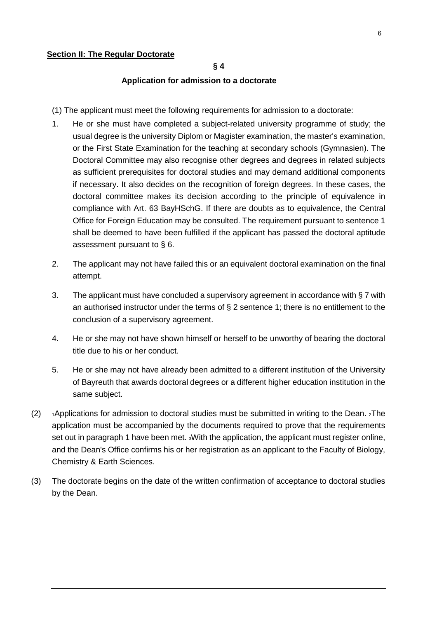### **Application for admission to a doctorate**

- (1) The applicant must meet the following requirements for admission to a doctorate:
- 1. He or she must have completed a subject-related university programme of study; the usual degree is the university Diplom or Magister examination, the master's examination, or the First State Examination for the teaching at secondary schools (Gymnasien). The Doctoral Committee may also recognise other degrees and degrees in related subjects as sufficient prerequisites for doctoral studies and may demand additional components if necessary. It also decides on the recognition of foreign degrees. In these cases, the doctoral committee makes its decision according to the principle of equivalence in compliance with Art. 63 BayHSchG. If there are doubts as to equivalence, the Central Office for Foreign Education may be consulted. The requirement pursuant to sentence 1 shall be deemed to have been fulfilled if the applicant has passed the doctoral aptitude assessment pursuant to § 6.
- 2. The applicant may not have failed this or an equivalent doctoral examination on the final attempt.
- 3. The applicant must have concluded a supervisory agreement in accordance with § 7 with an authorised instructor under the terms of  $\S 2$  sentence 1; there is no entitlement to the conclusion of a supervisory agreement.
- 4. He or she may not have shown himself or herself to be unworthy of bearing the doctoral title due to his or her conduct.
- 5. He or she may not have already been admitted to a different institution of the University of Bayreuth that awards doctoral degrees or a different higher education institution in the same subject.
- (2)  $\rightarrow$  1Applications for admission to doctoral studies must be submitted in writing to the Dean. 2The application must be accompanied by the documents required to prove that the requirements set out in paragraph 1 have been met. 3With the application, the applicant must register online, and the Dean's Office confirms his or her registration as an applicant to the Faculty of Biology, Chemistry & Earth Sciences.
- (3) The doctorate begins on the date of the written confirmation of acceptance to doctoral studies by the Dean.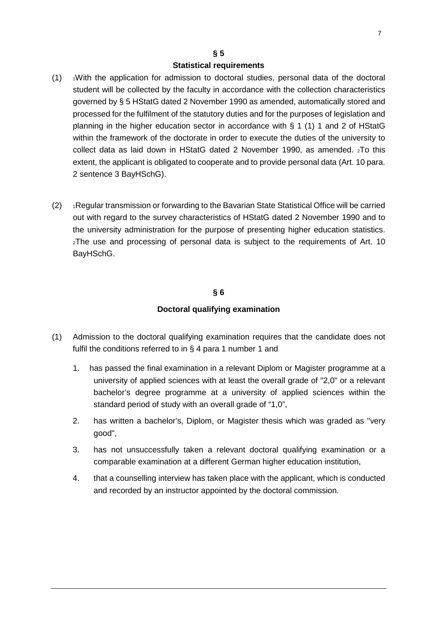### **§ 5**

### **Statistical requirements**

- $(1)$   $\rightarrow$  With the application for admission to doctoral studies, personal data of the doctoral student will be collected by the faculty in accordance with the collection characteristics governed by § 5 HStatG dated 2 November 1990 as amended, automatically stored and processed for the fulfilment of the statutory duties and for the purposes of legislation and planning in the higher education sector in accordance with § 1 (1) 1 and 2 of HStatG within the framework of the doctorate in order to execute the duties of the university to collect data as laid down in HStatG dated 2 November 1990, as amended.  $_2$ To this extent, the applicant is obligated to cooperate and to provide personal data (Art. 10 para. 2 sentence 3 BayHSchG).
- (2) 1Regular transmission or forwarding to the Bavarian State Statistical Office will be carried out with regard to the survey characteristics of HStatG dated 2 November 1990 and to the university administration for the purpose of presenting higher education statistics. 2The use and processing of personal data is subject to the requirements of Art. 10 BayHSchG.

### **§ 6**

### **Doctoral qualifying examination**

- (1) Admission to the doctoral qualifying examination requires that the candidate does not fulfil the conditions referred to in § 4 para 1 number 1 and
	- 1. has passed the final examination in a relevant Diplom or Magister programme at a university of applied sciences with at least the overall grade of "2,0" or a relevant bachelor's degree programme at a university of applied sciences within the standard period of study with an overall grade of "1,0",
	- 2. has written a bachelor's, Diplom, or Magister thesis which was graded as "very good",
	- 3. has not unsuccessfully taken a relevant doctoral qualifying examination or a comparable examination at a different German higher education institution,
	- 4. that a counselling interview has taken place with the applicant, which is conducted and recorded by an instructor appointed by the doctoral commission.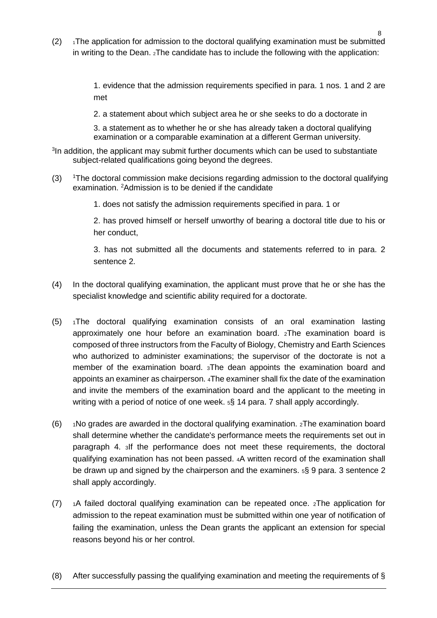$(2)$  1The application for admission to the doctoral qualifying examination must be submitted in writing to the Dean. 2The candidate has to include the following with the application:

> 1. evidence that the admission requirements specified in para. 1 nos. 1 and 2 are met

2. a statement about which subject area he or she seeks to do a doctorate in

3. a statement as to whether he or she has already taken a doctoral qualifying examination or a comparable examination at a different German university.

- <sup>3</sup>In addition, the applicant may submit further documents which can be used to substantiate subject-related qualifications going beyond the degrees.
- $(3)$ <sup>1</sup>The doctoral commission make decisions regarding admission to the doctoral qualifying examination. <sup>2</sup>Admission is to be denied if the candidate
	- 1. does not satisfy the admission requirements specified in para. 1 or

2. has proved himself or herself unworthy of bearing a doctoral title due to his or her conduct,

3. has not submitted all the documents and statements referred to in para. 2 sentence 2.

- (4) In the doctoral qualifying examination, the applicant must prove that he or she has the specialist knowledge and scientific ability required for a doctorate.
- (5) 1The doctoral qualifying examination consists of an oral examination lasting approximately one hour before an examination board. 2The examination board is composed of three instructors from the Faculty of Biology, Chemistry and Earth Sciences who authorized to administer examinations; the supervisor of the doctorate is not a member of the examination board. 3The dean appoints the examination board and appoints an examiner as chairperson. 4The examiner shall fix the date of the examination and invite the members of the examination board and the applicant to the meeting in writing with a period of notice of one week. 5§ 14 para. 7 shall apply accordingly.
- (6)  $\rightarrow$  1No grades are awarded in the doctoral qualifying examination.  $\rightarrow$  The examination board shall determine whether the candidate's performance meets the requirements set out in paragraph 4. 3If the performance does not meet these requirements, the doctoral qualifying examination has not been passed. 4A written record of the examination shall be drawn up and signed by the chairperson and the examiners. 5§ 9 para. 3 sentence 2 shall apply accordingly.
- (7) 1A failed doctoral qualifying examination can be repeated once.  $2$ The application for admission to the repeat examination must be submitted within one year of notification of failing the examination, unless the Dean grants the applicant an extension for special reasons beyond his or her control.
- (8) After successfully passing the qualifying examination and meeting the requirements of §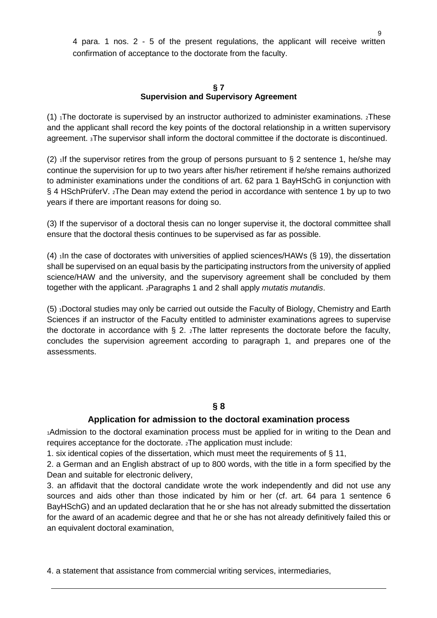4 para. 1 nos. 2 - 5 of the present regulations, the applicant will receive written confirmation of acceptance to the doctorate from the faculty.

### **§ 7 Supervision and Supervisory Agreement**

(1)  $_1$ The doctorate is supervised by an instructor authorized to administer examinations.  $_2$ These and the applicant shall record the key points of the doctoral relationship in a written supervisory agreement. 3The supervisor shall inform the doctoral committee if the doctorate is discontinued.

(2)  $\mu$  1If the supervisor retires from the group of persons pursuant to § 2 sentence 1, he/she may continue the supervision for up to two years after his/her retirement if he/she remains authorized to administer examinations under the conditions of art. 62 para 1 BayHSchG in conjunction with § 4 HSchPrüferV. 2The Dean may extend the period in accordance with sentence 1 by up to two years if there are important reasons for doing so.

(3) If the supervisor of a doctoral thesis can no longer supervise it, the doctoral committee shall ensure that the doctoral thesis continues to be supervised as far as possible.

(4)  $\Delta$  1In the case of doctorates with universities of applied sciences/HAWs (§ 19), the dissertation shall be supervised on an equal basis by the participating instructors from the university of applied science/HAW and the university, and the supervisory agreement shall be concluded by them together with the applicant. 2Paragraphs 1 and 2 shall apply *mutatis mutandis*.

(5) <sup>1</sup>Doctoral studies may only be carried out outside the Faculty of Biology, Chemistry and Earth Sciences if an instructor of the Faculty entitled to administer examinations agrees to supervise the doctorate in accordance with  $\S$  2.  $\chi$ The latter represents the doctorate before the faculty, concludes the supervision agreement according to paragraph 1, and prepares one of the assessments.

## **§ 8**

## **Application for admission to the doctoral examination process**

<sup>1</sup>Admission to the doctoral examination process must be applied for in writing to the Dean and requires acceptance for the doctorate. 2The application must include:

1. six identical copies of the dissertation, which must meet the requirements of § 11,

2. a German and an English abstract of up to 800 words, with the title in a form specified by the Dean and suitable for electronic delivery,

3. an affidavit that the doctoral candidate wrote the work independently and did not use any sources and aids other than those indicated by him or her (cf. art. 64 para 1 sentence 6 BayHSchG) and an updated declaration that he or she has not already submitted the dissertation for the award of an academic degree and that he or she has not already definitively failed this or an equivalent doctoral examination,

4. a statement that assistance from commercial writing services, intermediaries,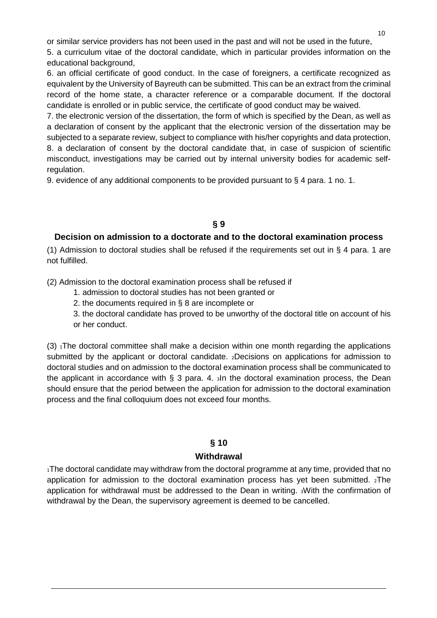or similar service providers has not been used in the past and will not be used in the future,

5. a curriculum vitae of the doctoral candidate, which in particular provides information on the educational background,

6. an official certificate of good conduct. In the case of foreigners, a certificate recognized as equivalent by the University of Bayreuth can be submitted. This can be an extract from the criminal record of the home state, a character reference or a comparable document. If the doctoral candidate is enrolled or in public service, the certificate of good conduct may be waived.

7. the electronic version of the dissertation, the form of which is specified by the Dean, as well as a declaration of consent by the applicant that the electronic version of the dissertation may be subjected to a separate review, subject to compliance with his/her copyrights and data protection, 8. a declaration of consent by the doctoral candidate that, in case of suspicion of scientific misconduct, investigations may be carried out by internal university bodies for academic selfregulation.

9. evidence of any additional components to be provided pursuant to § 4 para. 1 no. 1.

## **§ 9**

## **Decision on admission to a doctorate and to the doctoral examination process**

(1) Admission to doctoral studies shall be refused if the requirements set out in § 4 para. 1 are not fulfilled.

(2) Admission to the doctoral examination process shall be refused if

- 1. admission to doctoral studies has not been granted or
- 2. the documents required in § 8 are incomplete or

3. the doctoral candidate has proved to be unworthy of the doctoral title on account of his or her conduct.

 $(3)$  The doctoral committee shall make a decision within one month regarding the applications submitted by the applicant or doctoral candidate. 2Decisions on applications for admission to doctoral studies and on admission to the doctoral examination process shall be communicated to the applicant in accordance with  $\S$  3 para. 4.  $\sin$  the doctoral examination process, the Dean should ensure that the period between the application for admission to the doctoral examination process and the final colloquium does not exceed four months.

## **§ 10**

### **Withdrawal**

<sub>1</sub>The doctoral candidate may withdraw from the doctoral programme at any time, provided that no application for admission to the doctoral examination process has yet been submitted.  $2$ The application for withdrawal must be addressed to the Dean in writing. 3With the confirmation of withdrawal by the Dean, the supervisory agreement is deemed to be cancelled.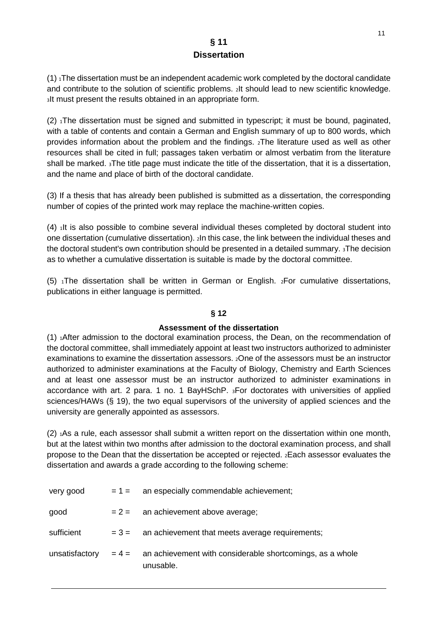## **§ 11 Dissertation**

 $(1)$  The dissertation must be an independent academic work completed by the doctoral candidate and contribute to the solution of scientific problems. 2It should lead to new scientific knowledge. <sup>3</sup>It must present the results obtained in an appropriate form.

(2) <sup>1</sup>The dissertation must be signed and submitted in typescript; it must be bound, paginated, with a table of contents and contain a German and English summary of up to 800 words, which provides information about the problem and the findings. 2The literature used as well as other resources shall be cited in full; passages taken verbatim or almost verbatim from the literature shall be marked. 3The title page must indicate the title of the dissertation, that it is a dissertation, and the name and place of birth of the doctoral candidate.

(3) If a thesis that has already been published is submitted as a dissertation, the corresponding number of copies of the printed work may replace the machine-written copies.

 $(4)$  ilt is also possible to combine several individual theses completed by doctoral student into one dissertation (cumulative dissertation). 2In this case, the link between the individual theses and the doctoral student's own contribution should be presented in a detailed summary. 3The decision as to whether a cumulative dissertation is suitable is made by the doctoral committee.

(5)  $\Lambda$ The dissertation shall be written in German or English.  $\Lambda$ For cumulative dissertations, publications in either language is permitted.

## **§ 12**

## **Assessment of the dissertation**

 $(1)$   $_1$ After admission to the doctoral examination process, the Dean, on the recommendation of the doctoral committee, shall immediately appoint at least two instructors authorized to administer examinations to examine the dissertation assessors. 2One of the assessors must be an instructor authorized to administer examinations at the Faculty of Biology, Chemistry and Earth Sciences and at least one assessor must be an instructor authorized to administer examinations in accordance with art. 2 para. 1 no. 1 BayHSchP. 3For doctorates with universities of applied sciences/HAWs (§ 19), the two equal supervisors of the university of applied sciences and the university are generally appointed as assessors.

 $(2)$  1As a rule, each assessor shall submit a written report on the dissertation within one month, but at the latest within two months after admission to the doctoral examination process, and shall propose to the Dean that the dissertation be accepted or rejected. 2Each assessor evaluates the dissertation and awards a grade according to the following scheme:

| very good      | $= 1 =$ | an especially commendable achievement;                                         |
|----------------|---------|--------------------------------------------------------------------------------|
| good           |         | $= 2 =$ an achievement above average;                                          |
| sufficient     |         | $= 3 =$ an achievement that meets average requirements;                        |
| unsatisfactory |         | $= 4 =$ an achievement with considerable shortcomings, as a whole<br>unusable. |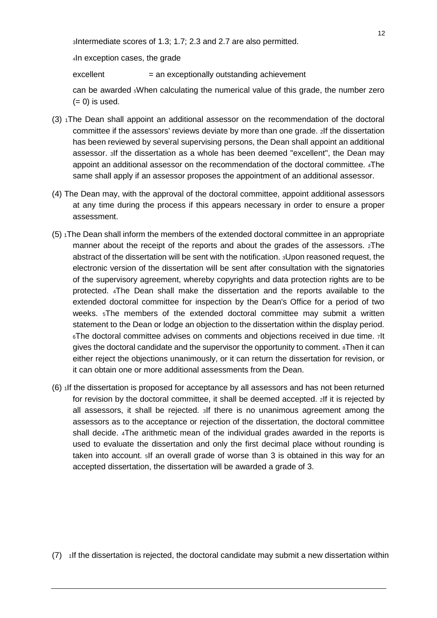3Intermediate scores of 1.3; 1.7; 2.3 and 2.7 are also permitted.

4In exception cases, the grade

 $excellent$  = an exceptionally outstanding achievement

can be awarded 5When calculating the numerical value of this grade, the number zero  $(= 0)$  is used.

- (3) 1The Dean shall appoint an additional assessor on the recommendation of the doctoral committee if the assessors' reviews deviate by more than one grade. 2If the dissertation has been reviewed by several supervising persons, the Dean shall appoint an additional assessor. 3If the dissertation as a whole has been deemed "excellent", the Dean may appoint an additional assessor on the recommendation of the doctoral committee. 4The same shall apply if an assessor proposes the appointment of an additional assessor.
- (4) The Dean may, with the approval of the doctoral committee, appoint additional assessors at any time during the process if this appears necessary in order to ensure a proper assessment.
- $(5)$  The Dean shall inform the members of the extended doctoral committee in an appropriate manner about the receipt of the reports and about the grades of the assessors. 2The abstract of the dissertation will be sent with the notification. 3Upon reasoned request, the electronic version of the dissertation will be sent after consultation with the signatories of the supervisory agreement, whereby copyrights and data protection rights are to be protected. 4The Dean shall make the dissertation and the reports available to the extended doctoral committee for inspection by the Dean's Office for a period of two weeks. 5The members of the extended doctoral committee may submit a written statement to the Dean or lodge an objection to the dissertation within the display period. 6The doctoral committee advises on comments and objections received in due time. 7It gives the doctoral candidate and the supervisor the opportunity to comment. 8Then it can either reject the objections unanimously, or it can return the dissertation for revision, or it can obtain one or more additional assessments from the Dean.
- $(6)$  1If the dissertation is proposed for acceptance by all assessors and has not been returned for revision by the doctoral committee, it shall be deemed accepted. 2If it is rejected by all assessors, it shall be rejected. 3If there is no unanimous agreement among the assessors as to the acceptance or rejection of the dissertation, the doctoral committee shall decide. 4The arithmetic mean of the individual grades awarded in the reports is used to evaluate the dissertation and only the first decimal place without rounding is taken into account. 5If an overall grade of worse than 3 is obtained in this way for an accepted dissertation, the dissertation will be awarded a grade of 3.

 $(7)$  1If the dissertation is rejected, the doctoral candidate may submit a new dissertation within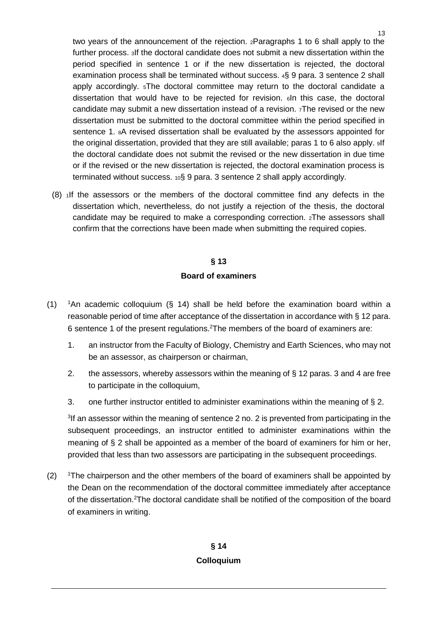two years of the announcement of the rejection. 2Paragraphs 1 to 6 shall apply to the further process. 3If the doctoral candidate does not submit a new dissertation within the period specified in sentence 1 or if the new dissertation is rejected, the doctoral examination process shall be terminated without success. 4§ 9 para. 3 sentence 2 shall apply accordingly. 5The doctoral committee may return to the doctoral candidate a dissertation that would have to be rejected for revision. 6In this case, the doctoral candidate may submit a new dissertation instead of a revision. 7The revised or the new dissertation must be submitted to the doctoral committee within the period specified in sentence 1. 8A revised dissertation shall be evaluated by the assessors appointed for the original dissertation, provided that they are still available; paras 1 to 6 also apply. If the doctoral candidate does not submit the revised or the new dissertation in due time or if the revised or the new dissertation is rejected, the doctoral examination process is terminated without success. 10§ 9 para. 3 sentence 2 shall apply accordingly.

(8) 1If the assessors or the members of the doctoral committee find any defects in the dissertation which, nevertheless, do not justify a rejection of the thesis, the doctoral candidate may be required to make a corresponding correction. 2The assessors shall confirm that the corrections have been made when submitting the required copies.

# **§ 13 Board of examiners**

- $(1)$ <sup>1</sup>An academic colloquium ( $§$  14) shall be held before the examination board within a reasonable period of time after acceptance of the dissertation in accordance with § 12 para. 6 sentence 1 of the present regulations.<sup>2</sup>The members of the board of examiners are:
	- 1. an instructor from the Faculty of Biology, Chemistry and Earth Sciences, who may not be an assessor, as chairperson or chairman,
	- 2. the assessors, whereby assessors within the meaning of § 12 paras. 3 and 4 are free to participate in the colloquium,
	- 3. one further instructor entitled to administer examinations within the meaning of § 2.

<sup>3</sup>If an assessor within the meaning of sentence 2 no. 2 is prevented from participating in the subsequent proceedings, an instructor entitled to administer examinations within the meaning of § 2 shall be appointed as a member of the board of examiners for him or her, provided that less than two assessors are participating in the subsequent proceedings.

 $(2)$ The chairperson and the other members of the board of examiners shall be appointed by the Dean on the recommendation of the doctoral committee immediately after acceptance of the dissertation.<sup>2</sup>The doctoral candidate shall be notified of the composition of the board of examiners in writing.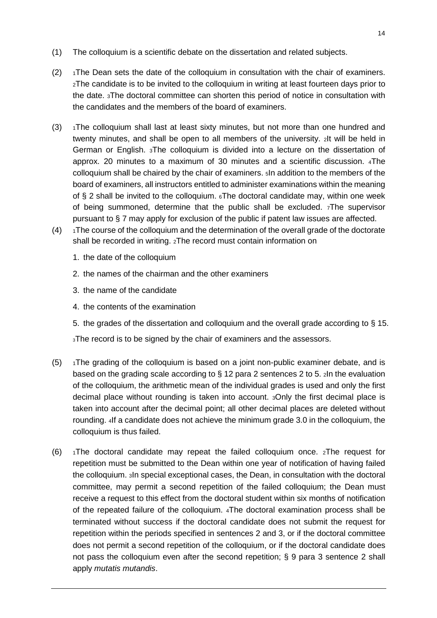- (1) The colloquium is a scientific debate on the dissertation and related subjects.
- $(2)$  1The Dean sets the date of the colloquium in consultation with the chair of examiners. 2The candidate is to be invited to the colloquium in writing at least fourteen days prior to the date. 3The doctoral committee can shorten this period of notice in consultation with the candidates and the members of the board of examiners.
- (3)  $1$ The colloquium shall last at least sixty minutes, but not more than one hundred and twenty minutes, and shall be open to all members of the university. 2It will be held in German or English. 3The colloquium is divided into a lecture on the dissertation of approx. 20 minutes to a maximum of 30 minutes and a scientific discussion. 4The colloquium shall be chaired by the chair of examiners. 5In addition to the members of the board of examiners, all instructors entitled to administer examinations within the meaning of § 2 shall be invited to the colloquium. 6The doctoral candidate may, within one week of being summoned, determine that the public shall be excluded. 7The supervisor pursuant to § 7 may apply for exclusion of the public if patent law issues are affected.
- $(4)$  1The course of the colloquium and the determination of the overall grade of the doctorate shall be recorded in writing. 2The record must contain information on
	- 1. the date of the colloquium
	- 2. the names of the chairman and the other examiners
	- 3. the name of the candidate
	- 4. the contents of the examination
	- 5. the grades of the dissertation and colloquium and the overall grade according to § 15.

3The record is to be signed by the chair of examiners and the assessors.

- $(5)$  1The grading of the colloquium is based on a joint non-public examiner debate, and is based on the grading scale according to § 12 para 2 sentences 2 to 5. 2In the evaluation of the colloquium, the arithmetic mean of the individual grades is used and only the first decimal place without rounding is taken into account. 3Only the first decimal place is taken into account after the decimal point; all other decimal places are deleted without rounding. 4If a candidate does not achieve the minimum grade 3.0 in the colloquium, the colloquium is thus failed.
- (6)  $\rightarrow$  1The doctoral candidate may repeat the failed colloquium once. 2The request for repetition must be submitted to the Dean within one year of notification of having failed the colloquium. 3In special exceptional cases, the Dean, in consultation with the doctoral committee, may permit a second repetition of the failed colloquium; the Dean must receive a request to this effect from the doctoral student within six months of notification of the repeated failure of the colloquium. 4The doctoral examination process shall be terminated without success if the doctoral candidate does not submit the request for repetition within the periods specified in sentences 2 and 3, or if the doctoral committee does not permit a second repetition of the colloquium, or if the doctoral candidate does not pass the colloquium even after the second repetition; § 9 para 3 sentence 2 shall apply *mutatis mutandis*.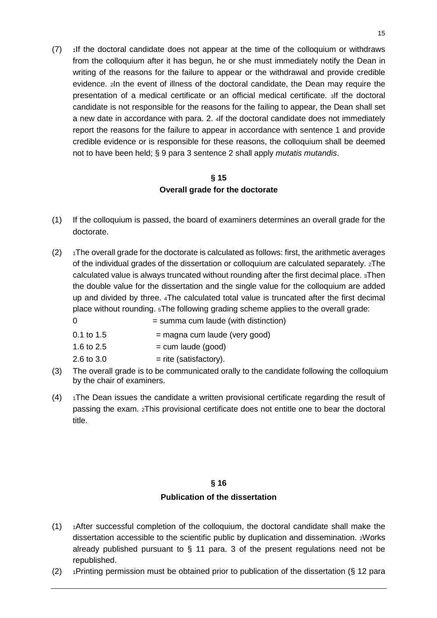(7) 1If the doctoral candidate does not appear at the time of the colloquium or withdraws from the colloquium after it has begun, he or she must immediately notify the Dean in writing of the reasons for the failure to appear or the withdrawal and provide credible evidence. 2In the event of illness of the doctoral candidate, the Dean may require the presentation of a medical certificate or an official medical certificate. 3If the doctoral candidate is not responsible for the reasons for the failing to appear, the Dean shall set a new date in accordance with para. 2. 4If the doctoral candidate does not immediately report the reasons for the failure to appear in accordance with sentence 1 and provide credible evidence or is responsible for these reasons, the colloquium shall be deemed not to have been held; § 9 para 3 sentence 2 shall apply *mutatis mutandis*.

## **§ 15 Overall grade for the doctorate**

- (1) If the colloquium is passed, the board of examiners determines an overall grade for the doctorate.
- $(2)$  1The overall grade for the doctorate is calculated as follows: first, the arithmetic averages of the individual grades of the dissertation or colloquium are calculated separately. 2The calculated value is always truncated without rounding after the first decimal place. 3Then the double value for the dissertation and the single value for the colloquium are added up and divided by three. 4The calculated total value is truncated after the first decimal place without rounding. 5The following grading scheme applies to the overall grade:

| $\Omega$     | $=$ summa cum laude (with distinction) |
|--------------|----------------------------------------|
| $0.1$ to 1.5 | $=$ magna cum laude (very good)        |
| 1.6 to $2.5$ | $=$ cum laude (good)                   |
| 2.6 to $3.0$ | $=$ rite (satisfactory).               |

- (3) The overall grade is to be communicated orally to the candidate following the colloquium by the chair of examiners.
- $(4)$  1The Dean issues the candidate a written provisional certificate regarding the result of passing the exam. 2This provisional certificate does not entitle one to bear the doctoral title.

## **§ 16**

## **Publication of the dissertation**

- (1) 1After successful completion of the colloquium, the doctoral candidate shall make the dissertation accessible to the scientific public by duplication and dissemination. 2Works already published pursuant to § 11 para. 3 of the present regulations need not be republished.
- (2)  $\rightarrow$  1Printing permission must be obtained prior to publication of the dissertation (§ 12 para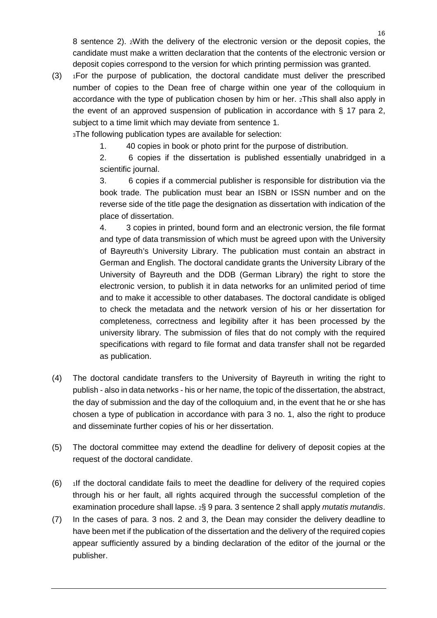8 sentence 2). 2With the delivery of the electronic version or the deposit copies, the candidate must make a written declaration that the contents of the electronic version or deposit copies correspond to the version for which printing permission was granted.

(3) 1For the purpose of publication, the doctoral candidate must deliver the prescribed number of copies to the Dean free of charge within one year of the colloquium in accordance with the type of publication chosen by him or her. 2This shall also apply in the event of an approved suspension of publication in accordance with § 17 para 2, subject to a time limit which may deviate from sentence 1.

3The following publication types are available for selection:

1. 40 copies in book or photo print for the purpose of distribution.

2. 6 copies if the dissertation is published essentially unabridged in a scientific journal.

3. 6 copies if a commercial publisher is responsible for distribution via the book trade. The publication must bear an ISBN or ISSN number and on the reverse side of the title page the designation as dissertation with indication of the place of dissertation.

4. 3 copies in printed, bound form and an electronic version, the file format and type of data transmission of which must be agreed upon with the University of Bayreuth's University Library. The publication must contain an abstract in German and English. The doctoral candidate grants the University Library of the University of Bayreuth and the DDB (German Library) the right to store the electronic version, to publish it in data networks for an unlimited period of time and to make it accessible to other databases. The doctoral candidate is obliged to check the metadata and the network version of his or her dissertation for completeness, correctness and legibility after it has been processed by the university library. The submission of files that do not comply with the required specifications with regard to file format and data transfer shall not be regarded as publication.

- (4) The doctoral candidate transfers to the University of Bayreuth in writing the right to publish - also in data networks - his or her name, the topic of the dissertation, the abstract, the day of submission and the day of the colloquium and, in the event that he or she has chosen a type of publication in accordance with para 3 no. 1, also the right to produce and disseminate further copies of his or her dissertation.
- (5) The doctoral committee may extend the deadline for delivery of deposit copies at the request of the doctoral candidate.
- $(6)$  If the doctoral candidate fails to meet the deadline for delivery of the required copies through his or her fault, all rights acquired through the successful completion of the examination procedure shall lapse. 2§ 9 para. 3 sentence 2 shall apply *mutatis mutandis*.
- (7) In the cases of para. 3 nos. 2 and 3, the Dean may consider the delivery deadline to have been met if the publication of the dissertation and the delivery of the required copies appear sufficiently assured by a binding declaration of the editor of the journal or the publisher.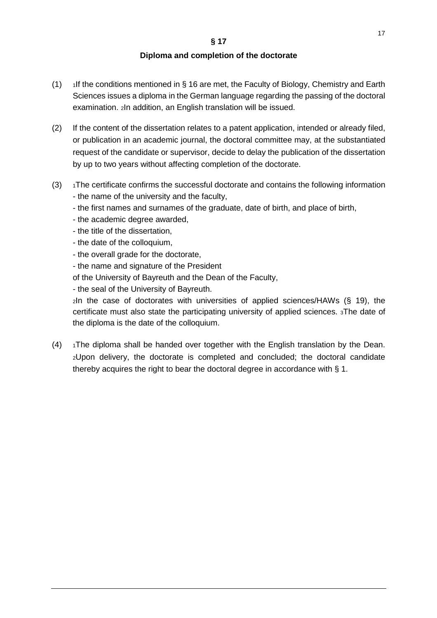### **Diploma and completion of the doctorate**

- (1) If the conditions mentioned in § 16 are met, the Faculty of Biology, Chemistry and Earth Sciences issues a diploma in the German language regarding the passing of the doctoral examination. 2In addition, an English translation will be issued.
- (2) If the content of the dissertation relates to a patent application, intended or already filed, or publication in an academic journal, the doctoral committee may, at the substantiated request of the candidate or supervisor, decide to delay the publication of the dissertation by up to two years without affecting completion of the doctorate.
- $(3)$  1The certificate confirms the successful doctorate and contains the following information - the name of the university and the faculty,
	- the first names and surnames of the graduate, date of birth, and place of birth,
	- the academic degree awarded,
	- the title of the dissertation,
	- the date of the colloquium,
	- the overall grade for the doctorate,
	- the name and signature of the President
	- of the University of Bayreuth and the Dean of the Faculty,
	- the seal of the University of Bayreuth.

2In the case of doctorates with universities of applied sciences/HAWs (§ 19), the certificate must also state the participating university of applied sciences. 3The date of the diploma is the date of the colloquium.

 $(4)$  1The diploma shall be handed over together with the English translation by the Dean. 2Upon delivery, the doctorate is completed and concluded; the doctoral candidate thereby acquires the right to bear the doctoral degree in accordance with § 1.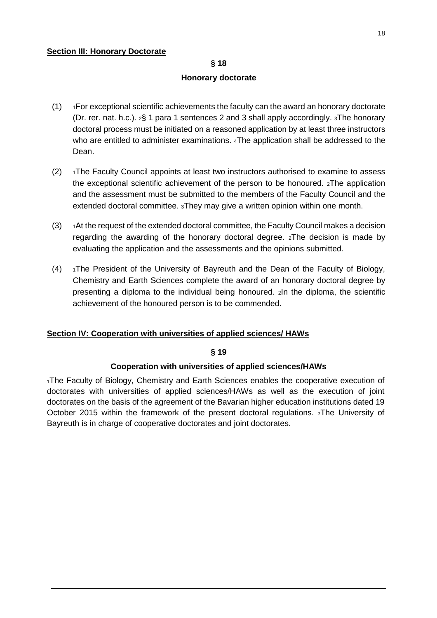### **Section III: Honorary Doctorate**

# **§ 18**

### **Honorary doctorate**

- $(1)$  1For exceptional scientific achievements the faculty can the award an honorary doctorate (Dr. rer. nat. h.c.). 2§ 1 para 1 sentences 2 and 3 shall apply accordingly. 3The honorary doctoral process must be initiated on a reasoned application by at least three instructors who are entitled to administer examinations. 4The application shall be addressed to the Dean.
- $(2)$  1The Faculty Council appoints at least two instructors authorised to examine to assess the exceptional scientific achievement of the person to be honoured. 2The application and the assessment must be submitted to the members of the Faculty Council and the extended doctoral committee. 3They may give a written opinion within one month.
- $(3)$  1 At the request of the extended doctoral committee, the Faculty Council makes a decision regarding the awarding of the honorary doctoral degree. 2The decision is made by evaluating the application and the assessments and the opinions submitted.
- $(4)$  1The President of the University of Bayreuth and the Dean of the Faculty of Biology, Chemistry and Earth Sciences complete the award of an honorary doctoral degree by presenting a diploma to the individual being honoured. 2In the diploma, the scientific achievement of the honoured person is to be commended.

## **Section IV: Cooperation with universities of applied sciences/ HAWs**

### **§ 19**

### **Cooperation with universities of applied sciences/HAWs**

<sup>1</sup>The Faculty of Biology, Chemistry and Earth Sciences enables the cooperative execution of doctorates with universities of applied sciences/HAWs as well as the execution of joint doctorates on the basis of the agreement of the Bavarian higher education institutions dated 19 October 2015 within the framework of the present doctoral regulations. 2The University of Bayreuth is in charge of cooperative doctorates and joint doctorates.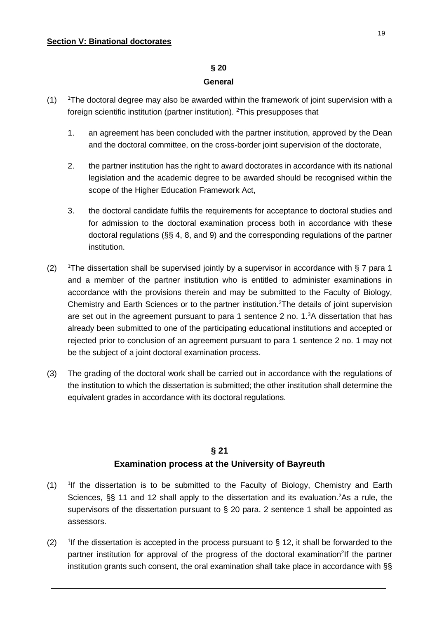### **§ 20**

### **General**

- $(1)$ <sup>1</sup>The doctoral degree may also be awarded within the framework of joint supervision with a foreign scientific institution (partner institution). <sup>2</sup>This presupposes that
	- 1. an agreement has been concluded with the partner institution, approved by the Dean and the doctoral committee, on the cross-border joint supervision of the doctorate,
	- 2. the partner institution has the right to award doctorates in accordance with its national legislation and the academic degree to be awarded should be recognised within the scope of the Higher Education Framework Act,
	- 3. the doctoral candidate fulfils the requirements for acceptance to doctoral studies and for admission to the doctoral examination process both in accordance with these doctoral regulations (§§ 4, 8, and 9) and the corresponding regulations of the partner institution.
- $(2)$ The dissertation shall be supervised jointly by a supervisor in accordance with § 7 para 1 and a member of the partner institution who is entitled to administer examinations in accordance with the provisions therein and may be submitted to the Faculty of Biology, Chemistry and Earth Sciences or to the partner institution.<sup>2</sup>The details of joint supervision are set out in the agreement pursuant to para 1 sentence 2 no. 1.<sup>3</sup>A dissertation that has already been submitted to one of the participating educational institutions and accepted or rejected prior to conclusion of an agreement pursuant to para 1 sentence 2 no. 1 may not be the subject of a joint doctoral examination process.
- (3) The grading of the doctoral work shall be carried out in accordance with the regulations of the institution to which the dissertation is submitted; the other institution shall determine the equivalent grades in accordance with its doctoral regulations.

# **§ 21 Examination process at the University of Bayreuth**

- $(1)$ <sup>1</sup>If the dissertation is to be submitted to the Faculty of Biology, Chemistry and Earth Sciences, §§ 11 and 12 shall apply to the dissertation and its evaluation.<sup>2</sup>As a rule, the supervisors of the dissertation pursuant to § 20 para. 2 sentence 1 shall be appointed as assessors.
- $(2)$ <sup>1</sup>If the dissertation is accepted in the process pursuant to  $\S$  12, it shall be forwarded to the partner institution for approval of the progress of the doctoral examination<sup>2</sup>lf the partner institution grants such consent, the oral examination shall take place in accordance with §§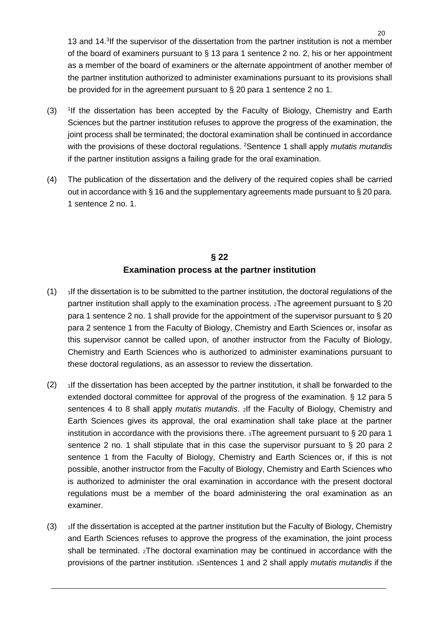13 and 14.<sup>3</sup> If the supervisor of the dissertation from the partner institution is not a member of the board of examiners pursuant to § 13 para 1 sentence 2 no. 2, his or her appointment as a member of the board of examiners or the alternate appointment of another member of the partner institution authorized to administer examinations pursuant to its provisions shall be provided for in the agreement pursuant to § 20 para 1 sentence 2 no 1.

- $(3)$ <sup>1</sup>If the dissertation has been accepted by the Faculty of Biology, Chemistry and Earth Sciences but the partner institution refuses to approve the progress of the examination, the joint process shall be terminated; the doctoral examination shall be continued in accordance with the provisions of these doctoral regulations. 2 Sentence 1 shall apply *mutatis mutandis* if the partner institution assigns a failing grade for the oral examination.
- (4) The publication of the dissertation and the delivery of the required copies shall be carried out in accordance with § 16 and the supplementary agreements made pursuant to § 20 para. 1 sentence 2 no. 1.

# **§ 22 Examination process at the partner institution**

- $(1)$  If the dissertation is to be submitted to the partner institution, the doctoral regulations of the partner institution shall apply to the examination process. 2The agreement pursuant to § 20 para 1 sentence 2 no. 1 shall provide for the appointment of the supervisor pursuant to § 20 para 2 sentence 1 from the Faculty of Biology, Chemistry and Earth Sciences or, insofar as this supervisor cannot be called upon, of another instructor from the Faculty of Biology, Chemistry and Earth Sciences who is authorized to administer examinations pursuant to these doctoral regulations, as an assessor to review the dissertation.
- $(2)$  1If the dissertation has been accepted by the partner institution, it shall be forwarded to the extended doctoral committee for approval of the progress of the examination. § 12 para 5 sentences 4 to 8 shall apply *mutatis mutandis*. 2If the Faculty of Biology, Chemistry and Earth Sciences gives its approval, the oral examination shall take place at the partner institution in accordance with the provisions there. 3The agreement pursuant to § 20 para 1 sentence 2 no. 1 shall stipulate that in this case the supervisor pursuant to § 20 para 2 sentence 1 from the Faculty of Biology, Chemistry and Earth Sciences or, if this is not possible, another instructor from the Faculty of Biology, Chemistry and Earth Sciences who is authorized to administer the oral examination in accordance with the present doctoral regulations must be a member of the board administering the oral examination as an examiner.
- $(3)$  1If the dissertation is accepted at the partner institution but the Faculty of Biology, Chemistry and Earth Sciences refuses to approve the progress of the examination, the joint process shall be terminated. 2The doctoral examination may be continued in accordance with the provisions of the partner institution. 3Sentences 1 and 2 shall apply *mutatis mutandis* if the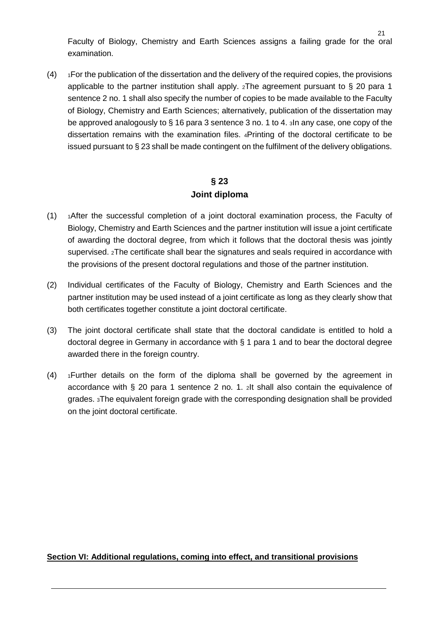Faculty of Biology, Chemistry and Earth Sciences assigns a failing grade for the oral examination.

 $(4)$  1For the publication of the dissertation and the delivery of the required copies, the provisions applicable to the partner institution shall apply.  $_2$ The agreement pursuant to § 20 para 1 sentence 2 no. 1 shall also specify the number of copies to be made available to the Faculty of Biology, Chemistry and Earth Sciences; alternatively, publication of the dissertation may be approved analogously to § 16 para 3 sentence 3 no. 1 to 4. 3In any case, one copy of the dissertation remains with the examination files. 4Printing of the doctoral certificate to be issued pursuant to § 23 shall be made contingent on the fulfilment of the delivery obligations.

## **§ 23**

### **Joint diploma**

- $(1)$  1After the successful completion of a joint doctoral examination process, the Faculty of Biology, Chemistry and Earth Sciences and the partner institution will issue a joint certificate of awarding the doctoral degree, from which it follows that the doctoral thesis was jointly supervised. 2The certificate shall bear the signatures and seals required in accordance with the provisions of the present doctoral regulations and those of the partner institution.
- (2) Individual certificates of the Faculty of Biology, Chemistry and Earth Sciences and the partner institution may be used instead of a joint certificate as long as they clearly show that both certificates together constitute a joint doctoral certificate.
- (3) The joint doctoral certificate shall state that the doctoral candidate is entitled to hold a doctoral degree in Germany in accordance with § 1 para 1 and to bear the doctoral degree awarded there in the foreign country.
- $(4)$  1 Further details on the form of the diploma shall be governed by the agreement in accordance with § 20 para 1 sentence 2 no. 1. 2It shall also contain the equivalence of grades. 3The equivalent foreign grade with the corresponding designation shall be provided on the joint doctoral certificate.

### **Section VI: Additional regulations, coming into effect, and transitional provisions**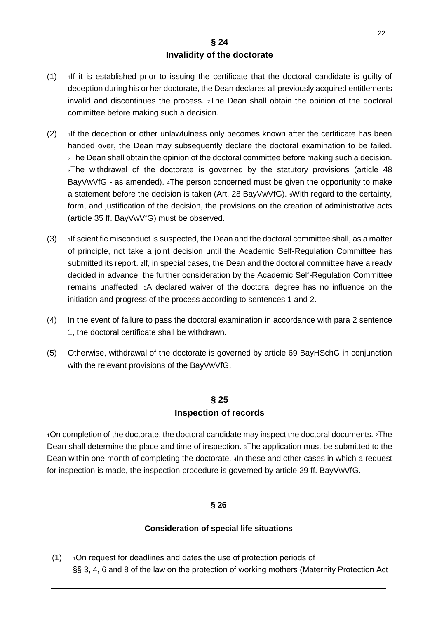## **§ 24 Invalidity of the doctorate**

- $(1)$  1If it is established prior to issuing the certificate that the doctoral candidate is quilty of deception during his or her doctorate, the Dean declares all previously acquired entitlements invalid and discontinues the process. 2The Dean shall obtain the opinion of the doctoral committee before making such a decision.
- $(2)$  1If the deception or other unlawfulness only becomes known after the certificate has been handed over, the Dean may subsequently declare the doctoral examination to be failed. 2The Dean shall obtain the opinion of the doctoral committee before making such a decision. 3The withdrawal of the doctorate is governed by the statutory provisions (article 48 BayVwVfG - as amended). 4The person concerned must be given the opportunity to make a statement before the decision is taken (Art. 28 BayVwVfG). 5With regard to the certainty, form, and justification of the decision, the provisions on the creation of administrative acts (article 35 ff. BayVwVfG) must be observed.
- $(3)$  If scientific misconduct is suspected, the Dean and the doctoral committee shall, as a matter of principle, not take a joint decision until the Academic Self-Regulation Committee has submitted its report. 2If, in special cases, the Dean and the doctoral committee have already decided in advance, the further consideration by the Academic Self-Regulation Committee remains unaffected. 3A declared waiver of the doctoral degree has no influence on the initiation and progress of the process according to sentences 1 and 2.
- (4) In the event of failure to pass the doctoral examination in accordance with para 2 sentence 1, the doctoral certificate shall be withdrawn.
- (5) Otherwise, withdrawal of the doctorate is governed by article 69 BayHSchG in conjunction with the relevant provisions of the BayVwVfG.

# **§ 25 Inspection of records**

1On completion of the doctorate, the doctoral candidate may inspect the doctoral documents. 2The Dean shall determine the place and time of inspection. 3The application must be submitted to the Dean within one month of completing the doctorate. 4In these and other cases in which a request for inspection is made, the inspection procedure is governed by article 29 ff. BayVwVfG.

## **§ 26**

## **Consideration of special life situations**

 $(1)$  1On request for deadlines and dates the use of protection periods of §§ 3, 4, 6 and 8 of the law on the protection of working mothers (Maternity Protection Act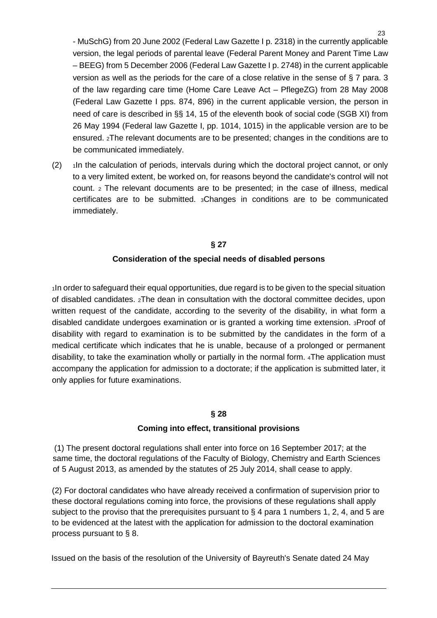- MuSchG) from 20 June 2002 (Federal Law Gazette I p. 2318) in the currently applicable version, the legal periods of parental leave (Federal Parent Money and Parent Time Law – BEEG) from 5 December 2006 (Federal Law Gazette I p. 2748) in the current applicable version as well as the periods for the care of a close relative in the sense of § 7 para. 3 of the law regarding care time (Home Care Leave Act – PflegeZG) from 28 May 2008 (Federal Law Gazette I pps. 874, 896) in the current applicable version, the person in need of care is described in §§ 14, 15 of the eleventh book of social code (SGB XI) from 26 May 1994 (Federal law Gazette I, pp. 1014, 1015) in the applicable version are to be ensured. 2The relevant documents are to be presented; changes in the conditions are to be communicated immediately.

 $(2)$  1In the calculation of periods, intervals during which the doctoral project cannot, or only to a very limited extent, be worked on, for reasons beyond the candidate's control will not count. 2 The relevant documents are to be presented; in the case of illness, medical certificates are to be submitted. 3Changes in conditions are to be communicated immediately.

## **§ 27 Consideration of the special needs of disabled persons**

1In order to safeguard their equal opportunities, due regard is to be given to the special situation of disabled candidates. 2The dean in consultation with the doctoral committee decides, upon written request of the candidate, according to the severity of the disability, in what form a disabled candidate undergoes examination or is granted a working time extension. 3Proof of disability with regard to examination is to be submitted by the candidates in the form of a medical certificate which indicates that he is unable, because of a prolonged or permanent disability, to take the examination wholly or partially in the normal form. 4The application must accompany the application for admission to a doctorate; if the application is submitted later, it only applies for future examinations.

## **§ 28**

### **Coming into effect, transitional provisions**

(1) The present doctoral regulations shall enter into force on 16 September 2017; at the same time, the doctoral regulations of the Faculty of Biology, Chemistry and Earth Sciences of 5 August 2013, as amended by the statutes of 25 July 2014, shall cease to apply.

(2) For doctoral candidates who have already received a confirmation of supervision prior to these doctoral regulations coming into force, the provisions of these regulations shall apply subject to the proviso that the prerequisites pursuant to  $\S$  4 para 1 numbers 1, 2, 4, and 5 are to be evidenced at the latest with the application for admission to the doctoral examination process pursuant to § 8.

Issued on the basis of the resolution of the University of Bayreuth's Senate dated 24 May